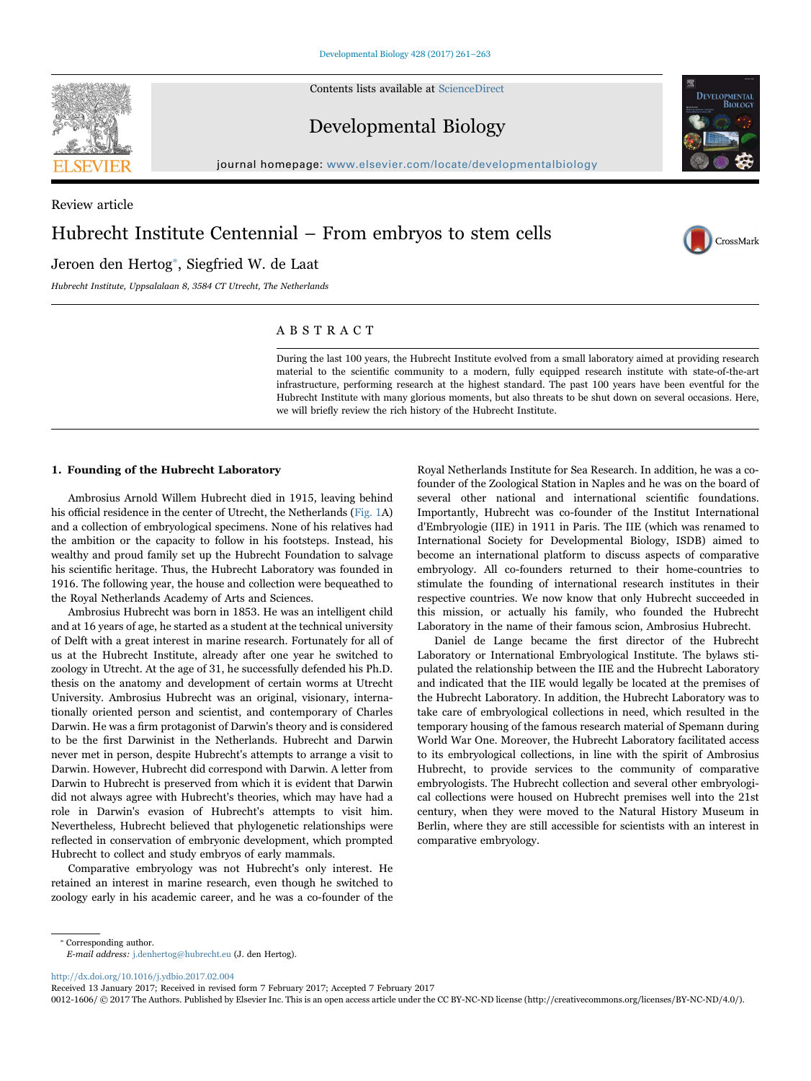Contents lists available at [ScienceDirect](http://www.sciencedirect.com/science/journal/00121606)

## Developmental Biology



CrossMark

journal homepage: [www.elsevier.com/locate/developmentalbiology](http://www.elsevier.com/locate/developmentalbiology)

# Review article Hubrecht Institute Centennial – From embryos to stem cells

## Jeroen den Hertog⁎ [, Siegfried W. de Laat](#page-0-0)

Hubrecht Institute, Uppsalalaan 8, 3584 CT Utrecht, The Netherlands

## ABSTRACT

During the last 100 years, the Hubrecht Institute evolved from a small laboratory aimed at providing research material to the scientific community to a modern, fully equipped research institute with state-of-the-art infrastructure, performing research at the highest standard. The past 100 years have been eventful for the Hubrecht Institute with many glorious moments, but also threats to be shut down on several occasions. Here, we will briefly review the rich history of the Hubrecht Institute.

### 1. Founding of the Hubrecht Laboratory

Ambrosius Arnold Willem Hubrecht died in 1915, leaving behind his official residence in the center of Utrecht, the Netherlands [\(Fig. 1](#page-1-0)A) and a collection of embryological specimens. None of his relatives had the ambition or the capacity to follow in his footsteps. Instead, his wealthy and proud family set up the Hubrecht Foundation to salvage his scientific heritage. Thus, the Hubrecht Laboratory was founded in 1916. The following year, the house and collection were bequeathed to the Royal Netherlands Academy of Arts and Sciences.

Ambrosius Hubrecht was born in 1853. He was an intelligent child and at 16 years of age, he started as a student at the technical university of Delft with a great interest in marine research. Fortunately for all of us at the Hubrecht Institute, already after one year he switched to zoology in Utrecht. At the age of 31, he successfully defended his Ph.D. thesis on the anatomy and development of certain worms at Utrecht University. Ambrosius Hubrecht was an original, visionary, internationally oriented person and scientist, and contemporary of Charles Darwin. He was a firm protagonist of Darwin's theory and is considered to be the first Darwinist in the Netherlands. Hubrecht and Darwin never met in person, despite Hubrecht's attempts to arrange a visit to Darwin. However, Hubrecht did correspond with Darwin. A letter from Darwin to Hubrecht is preserved from which it is evident that Darwin did not always agree with Hubrecht's theories, which may have had a role in Darwin's evasion of Hubrecht's attempts to visit him. Nevertheless, Hubrecht believed that phylogenetic relationships were reflected in conservation of embryonic development, which prompted Hubrecht to collect and study embryos of early mammals.

Comparative embryology was not Hubrecht's only interest. He retained an interest in marine research, even though he switched to zoology early in his academic career, and he was a co-founder of the

Royal Netherlands Institute for Sea Research. In addition, he was a cofounder of the Zoological Station in Naples and he was on the board of several other national and international scientific foundations. Importantly, Hubrecht was co-founder of the Institut International d'Embryologie (IIE) in 1911 in Paris. The IIE (which was renamed to International Society for Developmental Biology, ISDB) aimed to become an international platform to discuss aspects of comparative embryology. All co-founders returned to their home-countries to stimulate the founding of international research institutes in their respective countries. We now know that only Hubrecht succeeded in this mission, or actually his family, who founded the Hubrecht Laboratory in the name of their famous scion, Ambrosius Hubrecht.

Daniel de Lange became the first director of the Hubrecht Laboratory or International Embryological Institute. The bylaws stipulated the relationship between the IIE and the Hubrecht Laboratory and indicated that the IIE would legally be located at the premises of the Hubrecht Laboratory. In addition, the Hubrecht Laboratory was to take care of embryological collections in need, which resulted in the temporary housing of the famous research material of Spemann during World War One. Moreover, the Hubrecht Laboratory facilitated access to its embryological collections, in line with the spirit of Ambrosius Hubrecht, to provide services to the community of comparative embryologists. The Hubrecht collection and several other embryological collections were housed on Hubrecht premises well into the 21st century, when they were moved to the Natural History Museum in Berlin, where they are still accessible for scientists with an interest in comparative embryology.

<http://dx.doi.org/10.1016/j.ydbio.2017.02.004>

Received 13 January 2017; Received in revised form 7 February 2017; Accepted 7 February 2017

0012-1606/ © 2017 The Authors. Published by Elsevier Inc. This is an open access article under the CC BY-NC-ND license (http://creativecommons.org/licenses/BY-NC-ND/4.0/).

<span id="page-0-0"></span><sup>⁎</sup> Corresponding author.

E-mail address: j.denhertog@hubrecht.eu (J. den Hertog).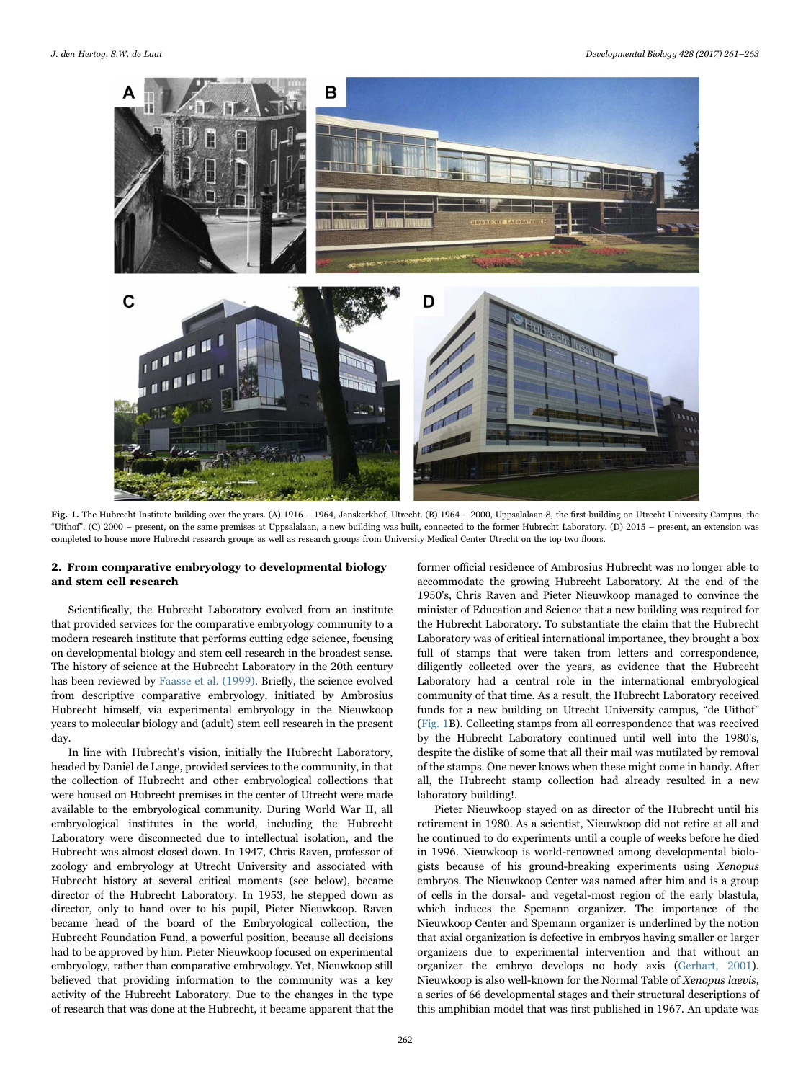<span id="page-1-0"></span>

Fig. 1. The Hubrecht Institute building over the years. (A) 1916 – 1964, Janskerkhof, Utrecht. (B) 1964 – 2000, Uppsalalaan 8, the first building on Utrecht University Campus, the "Uithof". (C) 2000 – present, on the same premises at Uppsalalaan, a new building was built, connected to the former Hubrecht Laboratory. (D) 2015 – present, an extension was completed to house more Hubrecht research groups as well as research groups from University Medical Center Utrecht on the top two floors.

### 2. From comparative embryology to developmental biology and stem cell research

Scientifically, the Hubrecht Laboratory evolved from an institute that provided services for the comparative embryology community to a modern research institute that performs cutting edge science, focusing on developmental biology and stem cell research in the broadest sense. The history of science at the Hubrecht Laboratory in the 20th century has been reviewed by [Faasse et al. \(1999\)](#page-2-0). Briefly, the science evolved from descriptive comparative embryology, initiated by Ambrosius Hubrecht himself, via experimental embryology in the Nieuwkoop years to molecular biology and (adult) stem cell research in the present day.

In line with Hubrecht's vision, initially the Hubrecht Laboratory, headed by Daniel de Lange, provided services to the community, in that the collection of Hubrecht and other embryological collections that were housed on Hubrecht premises in the center of Utrecht were made available to the embryological community. During World War II, all embryological institutes in the world, including the Hubrecht Laboratory were disconnected due to intellectual isolation, and the Hubrecht was almost closed down. In 1947, Chris Raven, professor of zoology and embryology at Utrecht University and associated with Hubrecht history at several critical moments (see below), became director of the Hubrecht Laboratory. In 1953, he stepped down as director, only to hand over to his pupil, Pieter Nieuwkoop. Raven became head of the board of the Embryological collection, the Hubrecht Foundation Fund, a powerful position, because all decisions had to be approved by him. Pieter Nieuwkoop focused on experimental embryology, rather than comparative embryology. Yet, Nieuwkoop still believed that providing information to the community was a key activity of the Hubrecht Laboratory. Due to the changes in the type of research that was done at the Hubrecht, it became apparent that the

former official residence of Ambrosius Hubrecht was no longer able to accommodate the growing Hubrecht Laboratory. At the end of the 1950's, Chris Raven and Pieter Nieuwkoop managed to convince the minister of Education and Science that a new building was required for the Hubrecht Laboratory. To substantiate the claim that the Hubrecht Laboratory was of critical international importance, they brought a box full of stamps that were taken from letters and correspondence, diligently collected over the years, as evidence that the Hubrecht Laboratory had a central role in the international embryological community of that time. As a result, the Hubrecht Laboratory received funds for a new building on Utrecht University campus, "de Uithof" ([Fig. 1B](#page-1-0)). Collecting stamps from all correspondence that was received by the Hubrecht Laboratory continued until well into the 1980's, despite the dislike of some that all their mail was mutilated by removal of the stamps. One never knows when these might come in handy. After all, the Hubrecht stamp collection had already resulted in a new laboratory building!.

Pieter Nieuwkoop stayed on as director of the Hubrecht until his retirement in 1980. As a scientist, Nieuwkoop did not retire at all and he continued to do experiments until a couple of weeks before he died in 1996. Nieuwkoop is world-renowned among developmental biologists because of his ground-breaking experiments using Xenopus embryos. The Nieuwkoop Center was named after him and is a group of cells in the dorsal- and vegetal-most region of the early blastula, which induces the Spemann organizer. The importance of the Nieuwkoop Center and Spemann organizer is underlined by the notion that axial organization is defective in embryos having smaller or larger organizers due to experimental intervention and that without an organizer the embryo develops no body axis [\(Gerhart, 2001\)](#page-2-1). Nieuwkoop is also well-known for the Normal Table of Xenopus laevis, a series of 66 developmental stages and their structural descriptions of this amphibian model that was first published in 1967. An update was